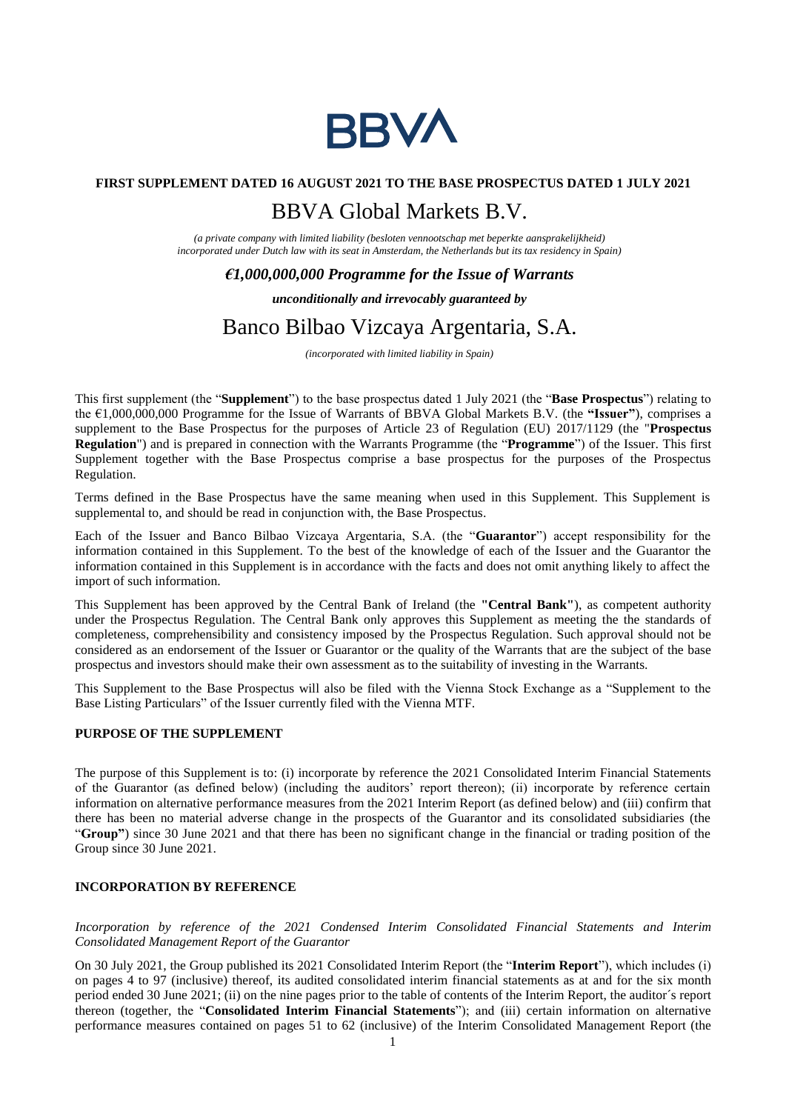

### **FIRST SUPPLEMENT DATED 16 AUGUST 2021 TO THE BASE PROSPECTUS DATED 1 JULY 2021**

# BBVA Global Markets B.V.

*(a private company with limited liability (besloten vennootschap met beperkte aansprakelijkheid) incorporated under Dutch law with its seat in Amsterdam, the Netherlands but its tax residency in Spain)*

#### *€1,000,000,000 Programme for the Issue of Warrants*

*unconditionally and irrevocably guaranteed by*

# Banco Bilbao Vizcaya Argentaria, S.A.

*(incorporated with limited liability in Spain)*

This first supplement (the "**Supplement**") to the base prospectus dated 1 July 2021 (the "**Base Prospectus**") relating to the €1,000,000,000 Programme for the Issue of Warrants of BBVA Global Markets B.V. (the **"Issuer"**), comprises a supplement to the Base Prospectus for the purposes of Article 23 of Regulation (EU) 2017/1129 (the "**Prospectus Regulation**") and is prepared in connection with the Warrants Programme (the "**Programme**") of the Issuer. This first Supplement together with the Base Prospectus comprise a base prospectus for the purposes of the Prospectus Regulation.

Terms defined in the Base Prospectus have the same meaning when used in this Supplement. This Supplement is supplemental to, and should be read in conjunction with, the Base Prospectus.

Each of the Issuer and Banco Bilbao Vizcaya Argentaria, S.A. (the "**Guarantor**") accept responsibility for the information contained in this Supplement. To the best of the knowledge of each of the Issuer and the Guarantor the information contained in this Supplement is in accordance with the facts and does not omit anything likely to affect the import of such information.

This Supplement has been approved by the Central Bank of Ireland (the **"Central Bank"**), as competent authority under the Prospectus Regulation. The Central Bank only approves this Supplement as meeting the the standards of completeness, comprehensibility and consistency imposed by the Prospectus Regulation. Such approval should not be considered as an endorsement of the Issuer or Guarantor or the quality of the Warrants that are the subject of the base prospectus and investors should make their own assessment as to the suitability of investing in the Warrants.

This Supplement to the Base Prospectus will also be filed with the Vienna Stock Exchange as a "Supplement to the Base Listing Particulars" of the Issuer currently filed with the Vienna MTF.

#### **PURPOSE OF THE SUPPLEMENT**

The purpose of this Supplement is to: (i) incorporate by reference the 2021 Consolidated Interim Financial Statements of the Guarantor (as defined below) (including the auditors' report thereon); (ii) incorporate by reference certain information on alternative performance measures from the 2021 Interim Report (as defined below) and (iii) confirm that there has been no material adverse change in the prospects of the Guarantor and its consolidated subsidiaries (the "**Group"**) since 30 June 2021 and that there has been no significant change in the financial or trading position of the Group since 30 June 2021.

## **INCORPORATION BY REFERENCE**

*Incorporation by reference of the 2021 Condensed Interim Consolidated Financial Statements and Interim Consolidated Management Report of the Guarantor*

On 30 July 2021, the Group published its 2021 Consolidated Interim Report (the "**Interim Report**"), which includes (i) on pages 4 to 97 (inclusive) thereof, its audited consolidated interim financial statements as at and for the six month period ended 30 June 2021; (ii) on the nine pages prior to the table of contents of the Interim Report, the auditor´s report thereon (together, the "**Consolidated Interim Financial Statements**"); and (iii) certain information on alternative performance measures contained on pages 51 to 62 (inclusive) of the Interim Consolidated Management Report (the